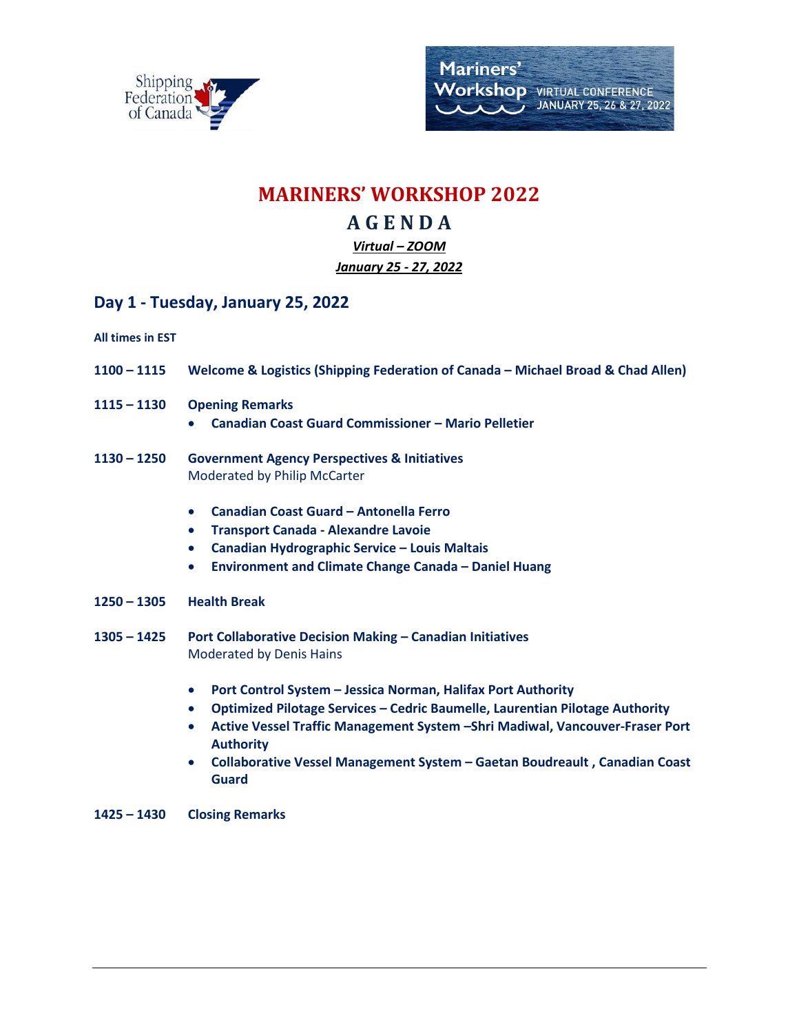

## **MARINERS' WORKSHOP 2022**

# **A G E N D A**

#### *Virtual – ZOOM January 25 - 27, 2022*

### **Day 1 - Tuesday, January 25, 2022**

**All times in EST**

- **1100 – 1115 Welcome & Logistics (Shipping Federation of Canada – Michael Broad & Chad Allen)**
- **1115 – 1130 Opening Remarks** 
	- **Canadian Coast Guard Commissioner – Mario Pelletier**
- **1130 – 1250 Government Agency Perspectives & Initiatives** Moderated by Philip McCarter
	- **Canadian Coast Guard – Antonella Ferro**
	- **Transport Canada - Alexandre Lavoie**
	- **Canadian Hydrographic Service – Louis Maltais**
	- **Environment and Climate Change Canada – Daniel Huang**
- **1250 – 1305 Health Break**
- **1305 – 1425 Port Collaborative Decision Making – Canadian Initiatives** Moderated by Denis Hains
	- **Port Control System – Jessica Norman, Halifax Port Authority**
	- **Optimized Pilotage Services – Cedric Baumelle, Laurentian Pilotage Authority**
	- **Active Vessel Traffic Management System –Shri Madiwal, Vancouver-Fraser Port Authority**
	- **Collaborative Vessel Management System – Gaetan Boudreault , Canadian Coast Guard**
- **1425 – 1430 Closing Remarks**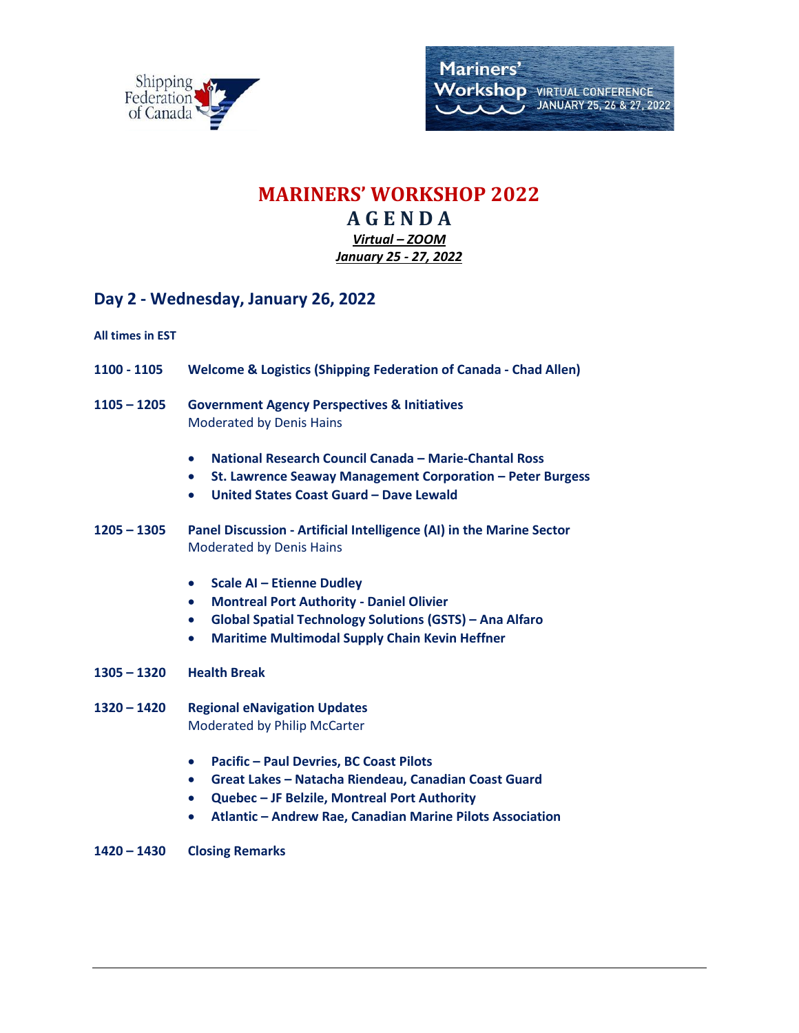

## **MARINERS' WORKSHOP 2022 A G E N D A**

*Virtual – ZOOM January 25 - 27, 2022*

### **Day 2 - Wednesday, January 26, 2022**

**All times in EST**

- **1100 - 1105 Welcome & Logistics (Shipping Federation of Canada - Chad Allen)**
- **1105 – 1205 Government Agency Perspectives & Initiatives** Moderated by Denis Hains
	- **National Research Council Canada – Marie-Chantal Ross**
	- **St. Lawrence Seaway Management Corporation – Peter Burgess**
	- **United States Coast Guard – Dave Lewald**
- **1205 – 1305 Panel Discussion - Artificial Intelligence (AI) in the Marine Sector** Moderated by Denis Hains
	- **Scale AI – Etienne Dudley**
	- **Montreal Port Authority - Daniel Olivier**
	- **Global Spatial Technology Solutions (GSTS) – Ana Alfaro**
	- **Maritime Multimodal Supply Chain Kevin Heffner**
- **1305 – 1320 Health Break**
- **1320 – 1420 Regional eNavigation Updates** Moderated by Philip McCarter
	- **Pacific – Paul Devries, BC Coast Pilots**
	- **Great Lakes – Natacha Riendeau, Canadian Coast Guard**
	- **Quebec – JF Belzile, Montreal Port Authority**
	- **Atlantic – Andrew Rae, Canadian Marine Pilots Association**
- **1420 – 1430 Closing Remarks**